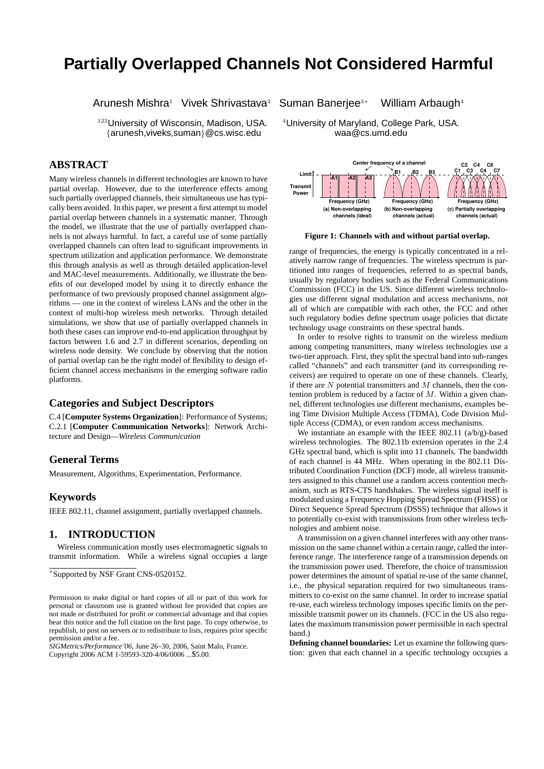# **Partially Overlapped Channels Not Considered Harmful**

Arunesh Mishra<sup>1</sup> Vivek Shrivastava<sup>2</sup> Suman Banerjee<sup>3∗</sup> William Arbaugh<sup>4</sup>

 $123$ University of Wisconsin, Madison, USA.  $4$ University of Maryland, College Park, USA. {arunesh,viveks,suman}@cs.wisc.edu waa@cs.umd.edu

# **ABSTRACT**

Many wireless channels in different technologies are known to have partial overlap. However, due to the interference effects among such partially overlapped channels, their simultaneous use has typically been avoided. In this paper, we present a first attempt to model partial overlap between channels in a systematic manner. Through the model, we illustrate that the use of partially overlapped channels is not always harmful. In fact, a careful use of some partially overlapped channels can often lead to significant improvements in spectrum utilization and application performance. We demonstrate this through analysis as well as through detailed application-level and MAC-level measurements. Additionally, we illustrate the benefits of our developed model by using it to directly enhance the performance of two previously proposed channel assignment algorithms — one in the context of wireless LANs and the other in the context of multi-hop wireless mesh networks. Through detailed simulations, we show that use of partially overlapped channels in both these cases can improve end-to-end application throughput by factors between 1.6 and 2.7 in different scenarios, depending on wireless node density. We conclude by observing that the notion of partial overlap can be the right model of flexibility to design efficient channel access mechanisms in the emerging software radio platforms.

## **Categories and Subject Descriptors**

C.4 [**Computer Systems Organization**]: Performance of Systems; C.2.1 [**Computer Communication Networks**]: Network Architecture and Design—*Wireless Communication*

## **General Terms**

Measurement, Algorithms, Experimentation, Performance.

## **Keywords**

IEEE 802.11, channel assignment, partially overlapped channels.

## **1. INTRODUCTION**

Wireless communication mostly uses electromagnetic signals to transmit information. While a wireless signal occupies a large

*SIGMetrics/Performance'06,* June 26–30, 2006, Saint Malo, France. Copyright 2006 ACM 1-59593-320-4/06/0006 ...\$5.00.



#### **Figure 1: Channels with and without partial overlap.**

range of frequencies, the energy is typically concentrated in a relatively narrow range of frequencies. The wireless spectrum is partitioned into ranges of frequencies, referred to as spectral bands, usually by regulatory bodies such as the Federal Communications Commission (FCC) in the US. Since different wireless technologies use different signal modulation and access mechanisms, not all of which are compatible with each other, the FCC and other such regulatory bodies define spectrum usage policies that dictate technology usage constraints on these spectral bands.

In order to resolve rights to transmit on the wireless medium among competing transmitters, many wireless technologies use a two-tier approach. First, they split the spectral band into sub-ranges called "channels" and each transmitter (and its corresponding receivers) are required to operate on one of these channels. Clearly, if there are  $N$  potential transmitters and  $M$  channels, then the contention problem is reduced by a factor of  $M$ . Within a given channel, different technologies use different mechanisms, examples being Time Division Multiple Access (TDMA), Code Division Multiple Access (CDMA), or even random access mechanisms.

We instantiate an example with the IEEE 802.11 (a/b/g)-based wireless technologies. The 802.11b extension operates in the 2.4 GHz spectral band, which is split into 11 channels. The bandwidth of each channel is 44 MHz. When operating in the 802.11 Distributed Coordination Function (DCF) mode, all wireless transmitters assigned to this channel use a random access contention mechanism, such as RTS-CTS handshakes. The wireless signal itself is modulated using a Frequency Hopping Spread Spectrum (FHSS) or Direct Sequence Spread Spectrum (DSSS) technique that allows it to potentially co-exist with transmissions from other wireless technologies and ambient noise.

A transmission on a given channel interferes with any other transmission on the same channel within a certain range, called the interference range. The interference range of a transmission depends on the transmission power used. Therefore, the choice of transmission power determines the amount of spatial re-use of the same channel, i.e., the physical separation required for two simultaneous transmitters to co-exist on the same channel. In order to increase spatial re-use, each wireless technology imposes specific limits on the permissible transmit power on its channels. (FCC in the US also regulates the maximum transmission power permissible in each spectral band.)

**Defining channel boundaries:** Let us examine the following question: given that each channel in a specific technology occupies a

<sup>∗</sup> Supported by NSF Grant CNS-0520152.

Permission to make digital or hard copies of all or part of this work for personal or classroom use is granted without fee provided that copies are not made or distributed for profit or commercial advantage and that copies bear this notice and the full citation on the first page. To copy otherwise, to republish, to post on servers or to redistribute to lists, requires prior specific permission and/or a fee.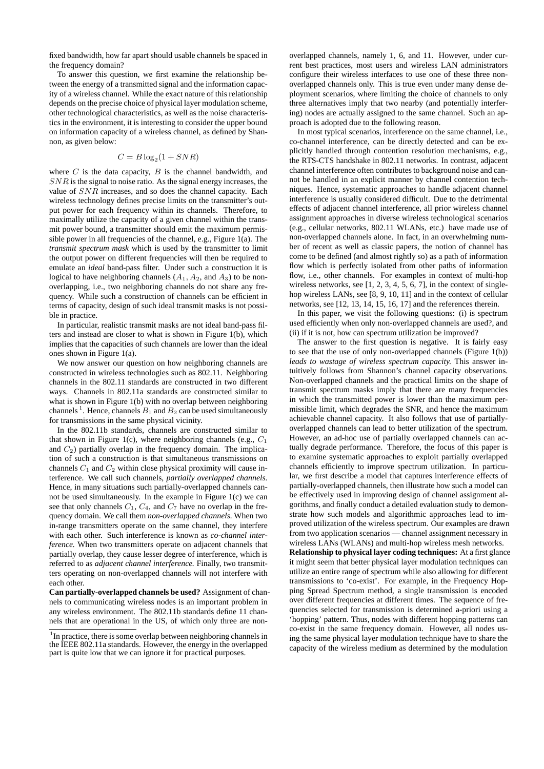fixed bandwidth, how far apart should usable channels be spaced in the frequency domain?

To answer this question, we first examine the relationship between the energy of a transmitted signal and the information capacity of a wireless channel. While the exact nature of this relationship depends on the precise choice of physical layer modulation scheme, other technological characteristics, as well as the noise characteristics in the environment, it is interesting to consider the upper bound on information capacity of a wireless channel, as defined by Shannon, as given below:

$$
C=B\log_2(1+SNR)
$$

where  $C$  is the data capacity,  $B$  is the channel bandwidth, and  $SNR$  is the signal to noise ratio. As the signal energy increases, the value of SNR increases, and so does the channel capacity. Each wireless technology defines precise limits on the transmitter's output power for each frequency within its channels. Therefore, to maximally utilize the capacity of a given channel within the transmit power bound, a transmitter should emit the maximum permissible power in all frequencies of the channel, e.g., Figure 1(a). The *transmit spectrum mask* which is used by the transmitter to limit the output power on different frequencies will then be required to emulate an *ideal* band-pass filter. Under such a construction it is logical to have neighboring channels  $(A_1, A_2,$  and  $A_3)$  to be nonoverlapping, i.e., two neighboring channels do not share any frequency. While such a construction of channels can be efficient in terms of capacity, design of such ideal transmit masks is not possible in practice.

In particular, realistic transmit masks are not ideal band-pass filters and instead are closer to what is shown in Figure 1(b), which implies that the capacities of such channels are lower than the ideal ones shown in Figure 1(a).

We now answer our question on how neighboring channels are constructed in wireless technologies such as 802.11. Neighboring channels in the 802.11 standards are constructed in two different ways. Channels in 802.11a standards are constructed similar to what is shown in Figure 1(b) with no overlap between neighboring channels<sup>1</sup>. Hence, channels  $B_1$  and  $B_2$  can be used simultaneously for transmissions in the same physical vicinity.

In the 802.11b standards, channels are constructed similar to that shown in Figure 1(c), where neighboring channels (e.g.,  $C_1$ ) and  $C_2$ ) partially overlap in the frequency domain. The implication of such a construction is that simultaneous transmissions on channels  $C_1$  and  $C_2$  within close physical proximity will cause interference. We call such channels, *partially overlapped channels.* Hence, in many situations such partially-overlapped channels cannot be used simultaneously. In the example in Figure 1(c) we can see that only channels  $C_1$ ,  $C_4$ , and  $C_7$  have no overlap in the frequency domain. We call them *non-overlapped channels.* When two in-range transmitters operate on the same channel, they interfere with each other. Such interference is known as *co-channel interference.* When two transmitters operate on adjacent channels that partially overlap, they cause lesser degree of interference, which is referred to as *adjacent channel interference.* Finally, two transmitters operating on non-overlapped channels will not interfere with each other.

**Can partially-overlapped channels be used?** Assignment of channels to communicating wireless nodes is an important problem in any wireless environment. The 802.11b standards define 11 channels that are operational in the US, of which only three are nonoverlapped channels, namely 1, 6, and 11. However, under current best practices, most users and wireless LAN administrators configure their wireless interfaces to use one of these three nonoverlapped channels only. This is true even under many dense deployment scenarios, where limiting the choice of channels to only three alternatives imply that two nearby (and potentially interfering) nodes are actually assigned to the same channel. Such an approach is adopted due to the following reason.

In most typical scenarios, interference on the same channel, i.e., co-channel interference, can be directly detected and can be explicitly handled through contention resolution mechanisms, e.g., the RTS-CTS handshake in 802.11 networks. In contrast, adjacent channel interference often contributes to background noise and cannot be handled in an explicit manner by channel contention techniques. Hence, systematic approaches to handle adjacent channel interference is usually considered difficult. Due to the detrimental effects of adjacent channel interference, all prior wireless channel assignment approaches in diverse wireless technological scenarios (e.g., cellular networks, 802.11 WLANs, etc.) have made use of non-overlapped channels alone. In fact, in an overwhelming number of recent as well as classic papers, the notion of channel has come to be defined (and almost rightly so) as a path of information flow which is perfectly isolated from other paths of information flow, i.e., other channels. For examples in context of multi-hop wireless networks, see  $[1, 2, 3, 4, 5, 6, 7]$ , in the context of singlehop wireless LANs, see [8, 9, 10, 11] and in the context of cellular networks, see [12, 13, 14, 15, 16, 17] and the references therein.

In this paper, we visit the following questions: (i) is spectrum used efficiently when only non-overlapped channels are used?, and (ii) if it is not, how can spectrum utilization be improved?

The answer to the first question is negative. It is fairly easy to see that the use of only non-overlapped channels (Figure 1(b)) *leads to wastage of wireless spectrum capacity.* This answer intuitively follows from Shannon's channel capacity observations. Non-overlapped channels and the practical limits on the shape of transmit spectrum masks imply that there are many frequencies in which the transmitted power is lower than the maximum permissible limit, which degrades the SNR, and hence the maximum achievable channel capacity. It also follows that use of partiallyoverlapped channels can lead to better utilization of the spectrum. However, an ad-hoc use of partially overlapped channels can actually degrade performance. Therefore, the focus of this paper is to examine systematic approaches to exploit partially overlapped channels efficiently to improve spectrum utilization. In particular, we first describe a model that captures interference effects of partially-overlapped channels, then illustrate how such a model can be effectively used in improving design of channel assignment algorithms, and finally conduct a detailed evaluation study to demonstrate how such models and algorithmic approaches lead to improved utilization of the wireless spectrum. Our examples are drawn from two application scenarios — channel assignment necessary in wireless LANs (WLANs) and multi-hop wireless mesh networks.

**Relationship to physical layer coding techniques:** At a first glance it might seem that better physical layer modulation techniques can utilize an entire range of spectrum while also allowing for different transmissions to 'co-exist'. For example, in the Frequency Hopping Spread Spectrum method, a single transmission is encoded over different frequencies at different times. The sequence of frequencies selected for transmission is determined a-priori using a 'hopping' pattern. Thus, nodes with different hopping patterns can co-exist in the same frequency domain. However, all nodes using the same physical layer modulation technique have to share the capacity of the wireless medium as determined by the modulation

<sup>&</sup>lt;sup>1</sup>In practice, there is some overlap between neighboring channels in the IEEE 802.11a standards. However, the energy in the overlapped part is quite low that we can ignore it for practical purposes.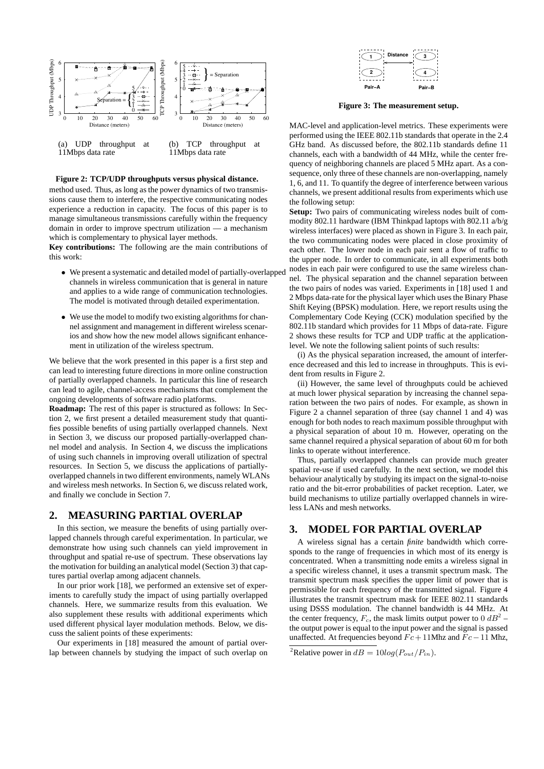

#### **Figure 2: TCP/UDP throughputs versus physical distance.**

method used. Thus, as long as the power dynamics of two transmissions cause them to interfere, the respective communicating nodes experience a reduction in capacity. The focus of this paper is to manage simultaneous transmissions carefully within the frequency domain in order to improve spectrum utilization — a mechanism which is complementary to physical layer methods.

**Key contributions:** The following are the main contributions of this work:

- We present a systematic and detailed model of partially-overlapped channels in wireless communication that is general in nature and applies to a wide range of communication technologies. The model is motivated through detailed experimentation.
- We use the model to modify two existing algorithms for channel assignment and management in different wireless scenarios and show how the new model allows significant enhancement in utilization of the wireless spectrum.

We believe that the work presented in this paper is a first step and can lead to interesting future directions in more online construction of partially overlapped channels. In particular this line of research can lead to agile, channel-access mechanisms that complement the ongoing developments of software radio platforms.

**Roadmap:** The rest of this paper is structured as follows: In Section 2, we first present a detailed measurement study that quantifies possible benefits of using partially overlapped channels. Next in Section 3, we discuss our proposed partially-overlapped channel model and analysis. In Section 4, we discuss the implications of using such channels in improving overall utilization of spectral resources. In Section 5, we discuss the applications of partiallyoverlapped channels in two different environments, namely WLANs and wireless mesh networks. In Section 6, we discuss related work, and finally we conclude in Section 7.

#### **2. MEASURING PARTIAL OVERLAP**

In this section, we measure the benefits of using partially overlapped channels through careful experimentation. In particular, we demonstrate how using such channels can yield improvement in throughput and spatial re-use of spectrum. These observations lay the motivation for building an analytical model (Section 3) that captures partial overlap among adjacent channels.

In our prior work [18], we performed an extensive set of experiments to carefully study the impact of using partially overlapped channels. Here, we summarize results from this evaluation. We also supplement these results with additional experiments which used different physical layer modulation methods. Below, we discuss the salient points of these experiments:

Our experiments in [18] measured the amount of partial overlap between channels by studying the impact of such overlap on



**Figure 3: The measurement setup.**

MAC-level and application-level metrics. These experiments were performed using the IEEE 802.11b standards that operate in the 2.4 GHz band. As discussed before, the 802.11b standards define 11 channels, each with a bandwidth of 44 MHz, while the center frequency of neighboring channels are placed 5 MHz apart. As a consequence, only three of these channels are non-overlapping, namely 1, 6, and 11. To quantify the degree of interference between various channels, we present additional results from experiments which use the following setup:

**Setup:** Two pairs of communicating wireless nodes built of commodity 802.11 hardware (IBM Thinkpad laptops with 802.11 a/b/g wireless interfaces) were placed as shown in Figure 3. In each pair, the two communicating nodes were placed in close proximity of each other. The lower node in each pair sent a flow of traffic to the upper node. In order to communicate, in all experiments both nodes in each pair were configured to use the same wireless channel. The physical separation and the channel separation between the two pairs of nodes was varied. Experiments in [18] used 1 and 2 Mbps data-rate for the physical layer which uses the Binary Phase Shift Keying (BPSK) modulation. Here, we report results using the Complementary Code Keying (CCK) modulation specified by the 802.11b standard which provides for 11 Mbps of data-rate. Figure 2 shows these results for TCP and UDP traffic at the applicationlevel. We note the following salient points of such results:

(i) As the physical separation increased, the amount of interference decreased and this led to increase in throughputs. This is evident from results in Figure 2.

(ii) However, the same level of throughputs could be achieved at much lower physical separation by increasing the channel separation between the two pairs of nodes. For example, as shown in Figure 2 a channel separation of three (say channel 1 and 4) was enough for both nodes to reach maximum possible throughput with a physical separation of about 10 m. However, operating on the same channel required a physical separation of about 60 m for both links to operate without interference.

Thus, partially overlapped channels can provide much greater spatial re-use if used carefully. In the next section, we model this behaviour analytically by studying its impact on the signal-to-noise ratio and the bit-error probabilities of packet reception. Later, we build mechanisms to utilize partially overlapped channels in wireless LANs and mesh networks.

## **3. MODEL FOR PARTIAL OVERLAP**

A wireless signal has a certain *finite* bandwidth which corresponds to the range of frequencies in which most of its energy is concentrated. When a transmitting node emits a wireless signal in a specific wireless channel, it uses a transmit spectrum mask. The transmit spectrum mask specifies the upper limit of power that is permissible for each frequency of the transmitted signal. Figure 4 illustrates the transmit spectrum mask for IEEE 802.11 standards using DSSS modulation. The channel bandwidth is 44 MHz. At the center frequency,  $F_c$ , the mask limits output power to 0  $dB^2$  – the output power is equal to the input power and the signal is passed unaffected. At frequencies beyond  $Fc+11Mhz$  and  $Fc-11Mhz$ ,

<sup>&</sup>lt;sup>2</sup>Relative power in  $dB = 10log(P_{out}/P_{in})$ .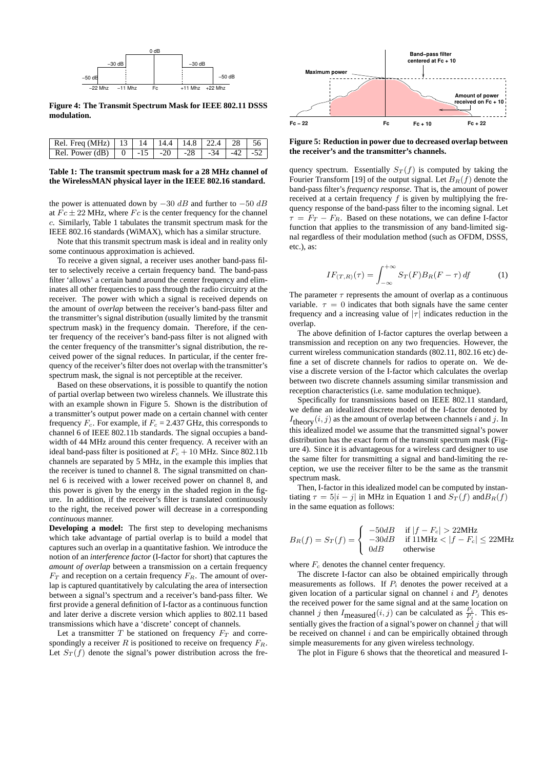

**Figure 4: The Transmit Spectrum Mask for IEEE 802.11 DSSS modulation.**

| Rel. Freq (MHz)   13   14   14.4   14.8   22.4   28   56 |  |  |  |  |
|----------------------------------------------------------|--|--|--|--|
|                                                          |  |  |  |  |

**Table 1: The transmit spectrum mask for a 28 MHz channel of the WirelessMAN physical layer in the IEEE 802.16 standard.**

the power is attenuated down by  $-30$  dB and further to  $-50$  dB at  $Fc \pm 22$  MHz, where  $Fc$  is the center frequency for the channel c. Similarly, Table 1 tabulates the transmit spectrum mask for the IEEE 802.16 standards (WiMAX), which has a similar structure.

Note that this transmit spectrum mask is ideal and in reality only some continuous approximation is achieved.

To receive a given signal, a receiver uses another band-pass filter to selectively receive a certain frequency band. The band-pass filter 'allows' a certain band around the center frequency and eliminates all other frequencies to pass through the radio circuitry at the receiver. The power with which a signal is received depends on the amount of *overlap* between the receiver's band-pass filter and the transmitter's signal distribution (usually limited by the transmit spectrum mask) in the frequency domain. Therefore, if the center frequency of the receiver's band-pass filter is not aligned with the center frequency of the transmitter's signal distribution, the received power of the signal reduces. In particular, if the center frequency of the receiver's filter does not overlap with the transmitter's spectrum mask, the signal is not perceptible at the receiver.

Based on these observations, it is possible to quantify the notion of partial overlap between two wireless channels. We illustrate this with an example shown in Figure 5. Shown is the distribution of a transmitter's output power made on a certain channel with center frequency  $F_c$ . For example, if  $F_c = 2.437$  GHz, this corresponds to channel 6 of IEEE 802.11b standards. The signal occupies a bandwidth of 44 MHz around this center frequency. A receiver with an ideal band-pass filter is positioned at  $F_c + 10$  MHz. Since 802.11b channels are separated by 5 MHz, in the example this implies that the receiver is tuned to channel 8. The signal transmitted on channel 6 is received with a lower received power on channel 8, and this power is given by the energy in the shaded region in the figure. In addition, if the receiver's filter is translated continuously to the right, the received power will decrease in a corresponding *continuous* manner.

**Developing a model:** The first step to developing mechanisms which take advantage of partial overlap is to build a model that captures such an overlap in a quantitative fashion. We introduce the notion of an *interference factor* (I-factor for short) that captures the *amount of overlap* between a transmission on a certain frequency  $F_T$  and reception on a certain frequency  $F_R$ . The amount of overlap is captured quantitatively by calculating the area of intersection between a signal's spectrum and a receiver's band-pass filter. We first provide a general definition of I-factor as a continuous function and later derive a discrete version which applies to 802.11 based transmissions which have a 'discrete' concept of channels.

Let a transmitter  $T$  be stationed on frequency  $F_T$  and correspondingly a receiver  $R$  is positioned to receive on frequency  $F_R$ . Let  $S_T(f)$  denote the signal's power distribution across the fre-



**Figure 5: Reduction in power due to decreased overlap between the receiver's and the transmitter's channels.**

quency spectrum. Essentially  $S_T(f)$  is computed by taking the Fourier Transform [19] of the output signal. Let  $B_R(f)$  denote the band-pass filter's *frequency response*. That is, the amount of power received at a certain frequency  $f$  is given by multiplying the frequency response of the band-pass filter to the incoming signal. Let  $\tau = F_T - F_B$ . Based on these notations, we can define I-factor function that applies to the transmission of any band-limited signal regardless of their modulation method (such as OFDM, DSSS, etc.), as:

$$
IF_{(T,R)}(\tau) = \int_{-\infty}^{+\infty} S_T(F) B_R(F - \tau) \, df \tag{1}
$$

The parameter  $\tau$  represents the amount of overlap as a continuous variable.  $\tau = 0$  indicates that both signals have the same center frequency and a increasing value of  $|\tau|$  indicates reduction in the overlap.

The above definition of I-factor captures the overlap between a transmission and reception on any two frequencies. However, the current wireless communication standards (802.11, 802.16 etc) define a set of discrete channels for radios to operate on. We devise a discrete version of the I-factor which calculates the overlap between two discrete channels assuming similar transmission and reception characteristics (i.e. same modulation technique).

Specifically for transmissions based on IEEE 802.11 standard, we define an idealized discrete model of the I-factor denoted by  $I_{\text{theory}}(i, j)$  as the amount of overlap between channels i and j. In this idealized model we assume that the transmitted signal's power distribution has the exact form of the transmit spectrum mask (Figure 4). Since it is advantageous for a wireless card designer to use the same filter for transmitting a signal and band-limiting the reception, we use the receiver filter to be the same as the transmit spectrum mask.

Then, I-factor in this idealized model can be computed by instantiating  $\tau = 5|i - j|$  in MHz in Equation 1 and  $S_T(f)$  and  $B_R(f)$ in the same equation as follows:

$$
B_R(f) = S_T(f) = \begin{cases} -50dB & \text{if } |f - F_c| > 22MHz\\ -30dB & \text{if } 11MHz < |f - F_c| \le 22MHz\\ 0dB & \text{otherwise} \end{cases}
$$

where  $F_c$  denotes the channel center frequency.

The discrete I-factor can also be obtained empirically through measurements as follows. If  $P_i$  denotes the power received at a given location of a particular signal on channel i and  $P_i$  denotes the received power for the same signal and at the same location on channel *j* then  $I_{\text{measured}}(i, j)$  can be calculated as  $\frac{P_i}{P_j}$ . This essentially gives the fraction of a signal's power on channel  $j$  that will be received on channel  $i$  and can be empirically obtained through simple measurements for any given wireless technology.

The plot in Figure 6 shows that the theoretical and measured I-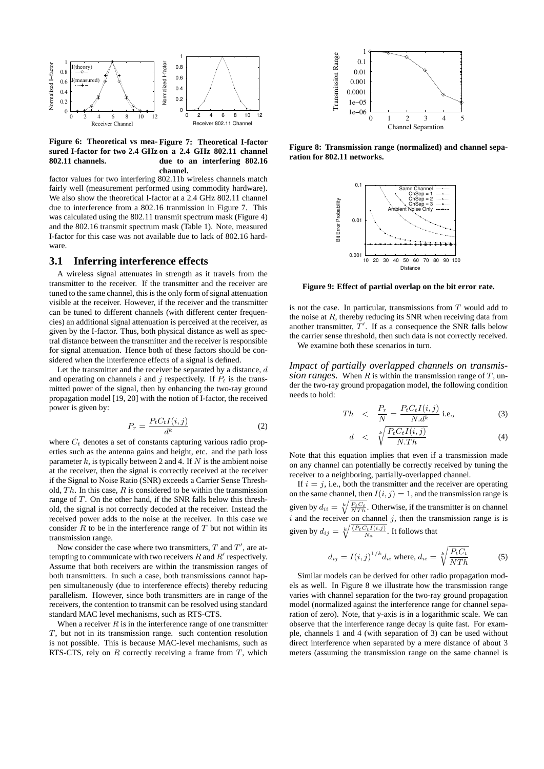

**Figure 6: Theoretical vs mea-Figure 7: Theoretical I-factor sured I-factor for two 2.4 GHz on a 2.4 GHz 802.11 channel 802.11 channels. due to an interfering 802.16 channel.**

factor values for two interfering 802.11b wireless channels match fairly well (measurement performed using commodity hardware). We also show the theoretical I-factor at a 2.4 GHz 802.11 channel due to interference from a 802.16 tranmission in Figure 7. This was calculated using the 802.11 transmit spectrum mask (Figure 4) and the 802.16 transmit spectrum mask (Table 1). Note, measured I-factor for this case was not available due to lack of 802.16 hardware.

## **3.1 Inferring interference effects**

A wireless signal attenuates in strength as it travels from the transmitter to the receiver. If the transmitter and the receiver are tuned to the same channel, this is the only form of signal attenuation visible at the receiver. However, if the receiver and the transmitter can be tuned to different channels (with different center frequencies) an additional signal attenuation is perceived at the receiver, as given by the I-factor. Thus, both physical distance as well as spectral distance between the transmitter and the receiver is responsible for signal attenuation. Hence both of these factors should be considered when the interference effects of a signal is defined.

Let the transmitter and the receiver be separated by a distance, d and operating on channels i and j respectively. If  $P_t$  is the transmitted power of the signal, then by enhancing the two-ray ground propagation model [19, 20] with the notion of I-factor, the received power is given by:

$$
P_r = \frac{P_t C_t I(i,j)}{d^k} \tag{2}
$$

where  $C<sub>t</sub>$  denotes a set of constants capturing various radio properties such as the antenna gains and height, etc. and the path loss parameter  $k$ , is typically between 2 and 4. If  $N$  is the ambient noise at the receiver, then the signal is correctly received at the receiver if the Signal to Noise Ratio (SNR) exceeds a Carrier Sense Threshold,  $Th$ . In this case,  $R$  is considered to be within the transmission range of T. On the other hand, if the SNR falls below this threshold, the signal is not correctly decoded at the receiver. Instead the received power adds to the noise at the receiver. In this case we consider  $R$  to be in the interference range of  $T$  but not within its transmission range.

Now consider the case where two transmitters,  $T$  and  $T'$ , are attempting to communicate with two receivers R and  $R'$  respectively. Assume that both receivers are within the transmission ranges of both transmitters. In such a case, both transmissions cannot happen simultaneously (due to interference effects) thereby reducing parallelism. However, since both transmitters are in range of the receivers, the contention to transmit can be resolved using standard standard MAC level mechanisms, such as RTS-CTS.

When a receiver  $R$  is in the interference range of one transmitter T, but not in its transmission range. such contention resolution is not possible. This is because MAC-level mechanisms, such as RTS-CTS, rely on  $R$  correctly receiving a frame from  $T$ , which



**Figure 8: Transmission range (normalized) and channel separation for 802.11 networks.**



**Figure 9: Effect of partial overlap on the bit error rate.**

is not the case. In particular, transmissions from  $T$  would add to the noise at  $R$ , thereby reducing its SNR when receiving data from another transmitter,  $T'$ . If as a consequence the SNR falls below the carrier sense threshold, then such data is not correctly received. We examine both these scenarios in turn.

*Impact of partially overlapped channels on transmission ranges.* When  $R$  is within the transmission range of  $T$ , under the two-ray ground propagation model, the following condition needs to hold:

$$
Th \quad < \quad \frac{P_r}{N} = \frac{P_t C_t I(i,j)}{N \cdot d^k} \text{ i.e.,} \tag{3}
$$

$$
d \quad < \quad \sqrt[k]{\frac{P_t C_t I(i,j)}{N. Th}} \tag{4}
$$

Note that this equation implies that even if a transmission made on any channel can potentially be correctly received by tuning the receiver to a neighboring, partially-overlapped channel.

If  $i = j$ , i.e., both the transmitter and the receiver are operating on the same channel, then  $I(i, j) = 1$ , and the transmission range is given by  $d_{ii} = \sqrt[k]{\frac{P_t C_t}{NTh}}$ . Otherwise, if the transmitter is on channel  $i$  and the receiver on channel  $j$ , then the transmission range is is given by  $d_{ij} = \sqrt[k]{\frac{(P_t C_t I(i,j))}{N_a}}$ . It follows that

$$
d_{ij} = I(i,j)^{1/k} d_{ii} \text{ where, } d_{ii} = \sqrt[k]{\frac{P_t C_t}{NTh}} \tag{5}
$$

Similar models can be derived for other radio propagation models as well. In Figure 8 we illustrate how the transmission range varies with channel separation for the two-ray ground propagation model (normalized against the interference range for channel separation of zero). Note, that y-axis is in a logarithmic scale. We can observe that the interference range decay is quite fast. For example, channels 1 and 4 (with separation of 3) can be used without direct interference when separated by a mere distance of about 3 meters (assuming the transmission range on the same channel is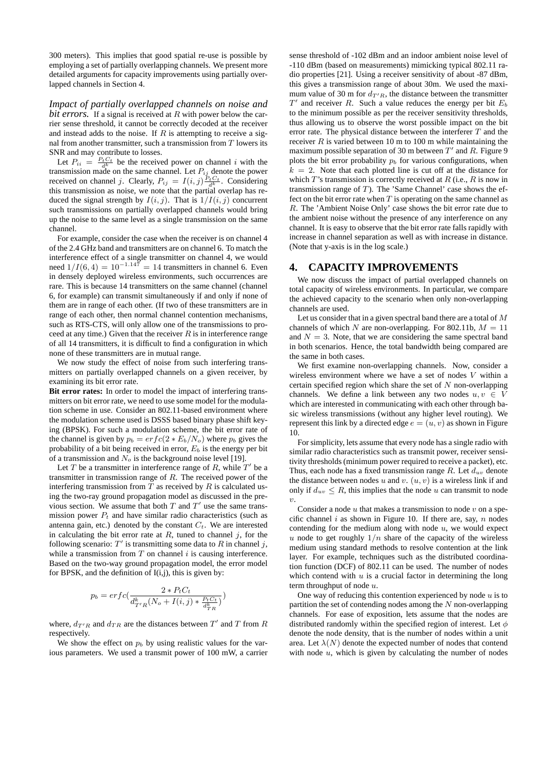300 meters). This implies that good spatial re-use is possible by employing a set of partially overlapping channels. We present more detailed arguments for capacity improvements using partially overlapped channels in Section 4.

*Impact of partially overlapped channels on noise and bit errors.* If a signal is received at R with power below the carrier sense threshold, it cannot be correctly decoded at the receiver and instead adds to the noise. If  $R$  is attempting to receive a signal from another transmitter, such a transmission from  $T$  lowers its SNR and may contribute to losses.

Let  $P_{ii} = \frac{P_t C_t}{d^k}$  be the received power on channel i with the transmission made on the same channel. Let  $P_{ij}$  denote the power received on channel j. Clearly,  $P_{ij} = I(i, j) \frac{P_t C_t}{d^k}$ . Considering this transmission as noise, we note that the partial overlap has reduced the signal strength by  $I(i, j)$ . That is  $1/I(i, j)$  concurrent such transmissions on partially overlapped channels would bring up the noise to the same level as a single transmission on the same channel.

For example, consider the case when the receiver is on channel 4 of the 2.4 GHz band and transmitters are on channel 6. To match the interference effect of a single transmitter on channel 4, we would need  $1/I(6, 4) = 10^{-1.147} = 14$  transmitters in channel 6. Even in densely deployed wireless environments, such occurrences are rare. This is because 14 transmitters on the same channel (channel 6, for example) can transmit simultaneously if and only if none of them are in range of each other. (If two of these transmitters are in range of each other, then normal channel contention mechanisms, such as RTS-CTS, will only allow one of the transmissions to proceed at any time.) Given that the receiver  $R$  is in interference range of all 14 transmitters, it is difficult to find a configuration in which none of these transmitters are in mutual range.

We now study the effect of noise from such interfering transmitters on partially overlapped channels on a given receiver, by examining its bit error rate.

**Bit error rates:** In order to model the impact of interfering transmitters on bit error rate, we need to use some model for the modulation scheme in use. Consider an 802.11-based environment where the modulation scheme used is DSSS based binary phase shift keying (BPSK). For such a modulation scheme, the bit error rate of the channel is given by  $p_b = erfc(2 * E_b/N_o)$  where  $p_b$  gives the probability of a bit being received in error,  $E_b$  is the energy per bit of a transmission and  $N<sub>o</sub>$  is the background noise level [19].

Let  $T$  be a transmitter in interference range of  $R$ , while  $T'$  be a transmitter in transmission range of  $R$ . The received power of the interfering transmission from  $T$  as received by  $R$  is calculated using the two-ray ground propagation model as discussed in the previous section. We assume that both  $T$  and  $T'$  use the same transmission power  $P_t$  and have similar radio characteristics (such as antenna gain, etc.) denoted by the constant  $C_t$ . We are interested in calculating the bit error rate at  $R$ , tuned to channel  $j$ , for the following scenario:  $T'$  is transmitting some data to R in channel j, while a transmission from  $T$  on channel  $i$  is causing interference. Based on the two-way ground propagation model, the error model for BPSK, and the definition of  $I(i,j)$ , this is given by:

$$
p_b = erfc(\frac{2 * P_t C_t}{d_{T'R}^k (N_o + I(i, j) * \frac{P_t C_t}{d_{TR}^k})})
$$

where,  $d_{T'R}$  and  $d_{TR}$  are the distances between  $T'$  and  $T$  from  $R$ respectively.

We show the effect on  $p_b$  by using realistic values for the various parameters. We used a transmit power of 100 mW, a carrier

sense threshold of -102 dBm and an indoor ambient noise level of -110 dBm (based on measurements) mimicking typical 802.11 radio properties [21]. Using a receiver sensitivity of about -87 dBm, this gives a transmission range of about 30m. We used the maximum value of 30 m for  $d_{T'R}$ , the distance between the transmitter  $T'$  and receiver R. Such a value reduces the energy per bit  $E_b$ to the minimum possible as per the receiver sensitivity thresholds, thus allowing us to observe the worst possible impact on the bit error rate. The physical distance between the interferer  $T$  and the receiver  $R$  is varied between 10 m to 100 m while maintaining the maximum possible separation of 30 m between  $T'$  and R. Figure 9 plots the bit error probability  $p<sub>b</sub>$  for various configurations, when  $k = 2$ . Note that each plotted line is cut off at the distance for which  $T$ 's transmission is correctly received at  $R$  (i.e.,  $R$  is now in transmission range of  $T$ ). The 'Same Channel' case shows the effect on the bit error rate when  $T$  is operating on the same channel as R. The 'Ambient Noise Only' case shows the bit error rate due to the ambient noise without the presence of any interference on any channel. It is easy to observe that the bit error rate falls rapidly with increase in channel separation as well as with increase in distance. (Note that y-axis is in the log scale.)

#### **4. CAPACITY IMPROVEMENTS**

We now discuss the impact of partial overlapped channels on total capacity of wireless environments. In particular, we compare the achieved capacity to the scenario when only non-overlapping channels are used.

Let us consider that in a given spectral band there are a total of  $M$ channels of which N are non-overlapping. For 802.11b,  $M = 11$ and  $N = 3$ . Note, that we are considering the same spectral band in both scenarios. Hence, the total bandwidth being compared are the same in both cases.

We first examine non-overlapping channels. Now, consider a wireless environment where we have a set of nodes V within a certain specified region which share the set of  $N$  non-overlapping channels. We define a link between any two nodes  $u, v \in V$ which are interested in communicating with each other through basic wireless transmissions (without any higher level routing). We represent this link by a directed edge  $e = (u, v)$  as shown in Figure 10.

For simplicity, lets assume that every node has a single radio with similar radio characteristics such as transmit power, receiver sensitivity thresholds (minimum power required to receive a packet), etc. Thus, each node has a fixed transmission range R. Let  $d_{uv}$  denote the distance between nodes u and v.  $(u, v)$  is a wireless link if and only if  $d_{uv} \leq R$ , this implies that the node u can transmit to node  $\upsilon$ .

Consider a node  $u$  that makes a transmission to node  $v$  on a specific channel  $i$  as shown in Figure 10. If there are, say,  $n$  nodes contending for the medium along with node  $u$ , we would expect u node to get roughly  $1/n$  share of the capacity of the wireless medium using standard methods to resolve contention at the link layer. For example, techniques such as the distributed coordination function (DCF) of 802.11 can be used. The number of nodes which contend with  $u$  is a crucial factor in determining the long term throughput of node  $u$ .

One way of reducing this contention experienced by node  $u$  is to partition the set of contending nodes among the  $N$  non-overlapping channels. For ease of exposition, lets assume that the nodes are distributed randomly within the specified region of interest. Let  $\phi$ denote the node density, that is the number of nodes within a unit area. Let  $\lambda(N)$  denote the expected number of nodes that contend with node  $u$ , which is given by calculating the number of nodes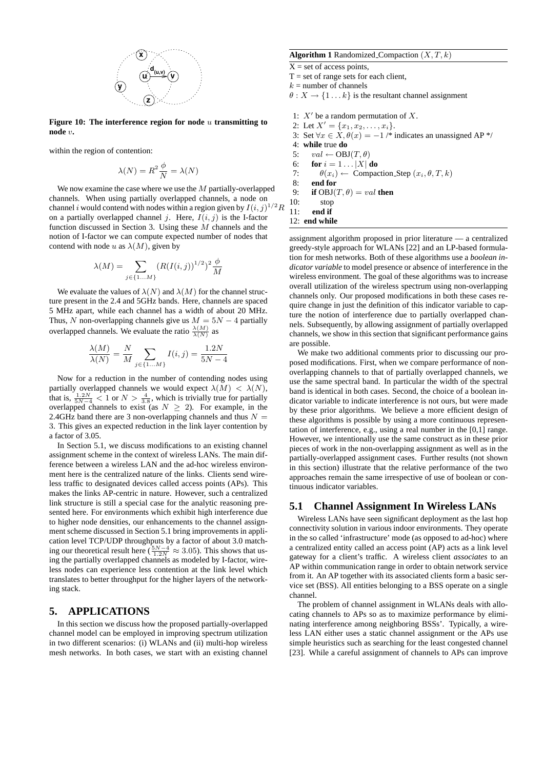

**Figure 10: The interference region for node** u **transmitting to node** v**.**

within the region of contention:

$$
\lambda(N) = R^2 \frac{\phi}{N} = \lambda(N)
$$

We now examine the case where we use the  $M$  partially-overlapped channels. When using partially overlapped channels, a node on channel i would contend with nodes within a region given by  $I(i, j)^{1/2}R$ on a partially overlapped channel j. Here,  $I(i, j)$  is the I-factor function discussed in Section 3. Using these M channels and the notion of I-factor we can compute expected number of nodes that contend with node u as  $\lambda(M)$ , given by

$$
\lambda(M) = \sum_{j \in \{1...M\}} (R(I(i,j))^{1/2})^2 \frac{\phi}{M}
$$

We evaluate the values of  $\lambda(N)$  and  $\lambda(M)$  for the channel structure present in the 2.4 and 5GHz bands. Here, channels are spaced 5 MHz apart, while each channel has a width of about 20 MHz. Thus, N non-overlapping channels give us  $M = 5N - 4$  partially overlapped channels. We evaluate the ratio  $\frac{\lambda(M)}{\lambda(N)}$  as

$$
\frac{\lambda(M)}{\lambda(N)} = \frac{N}{M} \sum_{j \in \{1...M\}} I(i,j) = \frac{1.2N}{5N - 4}
$$

Now for a reduction in the number of contending nodes using partially overlapped channels we would expect  $\lambda(M) < \lambda(N)$ , that is,  $\frac{1.2N}{5N-4} < 1$  or  $N > \frac{4}{3.8}$ , which is trivially true for partially overlapped channels to exist (as  $N \geq 2$ ). For example, in the 2.4GHz band there are 3 non-overlapping channels and thus  $N =$ 3. This gives an expected reduction in the link layer contention by a factor of 3.05.

In Section 5.1, we discuss modifications to an existing channel assignment scheme in the context of wireless LANs. The main difference between a wireless LAN and the ad-hoc wireless environment here is the centralized nature of the links. Clients send wireless traffic to designated devices called access points (APs). This makes the links AP-centric in nature. However, such a centralized link structure is still a special case for the analytic reasoning presented here. For environments which exhibit high interference due to higher node densities, our enhancements to the channel assignment scheme discussed in Section 5.1 bring improvements in application level TCP/UDP throughputs by a factor of about 3.0 matching our theoretical result here ( $\frac{5N-4}{1.2N} \approx 3.05$ ). This shows that using the partially overlapped channels as modeled by I-factor, wireless nodes can experience less contention at the link level which translates to better throughput for the higher layers of the networking stack.

## **5. APPLICATIONS**

In this section we discuss how the proposed partially-overlapped channel model can be employed in improving spectrum utilization in two different scenarios: (i) WLANs and (ii) multi-hop wireless mesh networks. In both cases, we start with an existing channel

#### **Algorithm 1** Randomized Compaction  $(X, T, k)$

- $\overline{X}$  = set of access points,
- $T = set of range sets for each client.$
- $k =$  number of channels
- $\theta$  :  $X \to \{1...k\}$  is the resultant channel assignment
- 1:  $X'$  be a random permutation of  $X$ .
- 2: Let  $X' = \{x_1, x_2, \ldots, x_i\}.$
- 3: Set  $\forall x \in X, \theta(x) = -1$  /\* indicates an unassigned AP \*/
- 4: **while** true **do**<br>5:  $val \leftarrow OB$ .
- $val \leftarrow \text{OBJ}(T, \theta)$
- 6: **for**  $i = 1...|X|$  **do**
- 7:  $\theta(x_i) \leftarrow$  Compaction Step  $(x_i, \theta, T, k)$
- 8: **end for**
- 9: **if**  $OBJ(T, \theta) = val$  **then**
- 10: stop<br>11: **end if**
- end if

12: **end while**

assignment algorithm proposed in prior literature — a centralized greedy-style approach for WLANs [22] and an LP-based formulation for mesh networks. Both of these algorithms use a *boolean indicator variable* to model presence or absence of interference in the wireless environment. The goal of these algorithms was to increase overall utilization of the wireless spectrum using non-overlapping channels only. Our proposed modifications in both these cases require change in just the definition of this indicator variable to capture the notion of interference due to partially overlapped channels. Subsequently, by allowing assignment of partially overlapped channels, we show in this section that significant performance gains are possible.

We make two additional comments prior to discussing our proposed modifications. First, when we compare performance of nonoverlapping channels to that of partially overlapped channels, we use the same spectral band. In particular the width of the spectral band is identical in both cases. Second, the choice of a boolean indicator variable to indicate interference is not ours, but were made by these prior algorithms. We believe a more efficient design of these algorithms is possible by using a more continuous representation of interference, e.g., using a real number in the [0,1] range. However, we intentionally use the same construct as in these prior pieces of work in the non-overlapping assignment as well as in the partially-overlapped assignment cases. Further results (not shown in this section) illustrate that the relative performance of the two approaches remain the same irrespective of use of boolean or continuous indicator variables.

## **5.1 Channel Assignment In Wireless LANs**

Wireless LANs have seen significant deployment as the last hop connectivity solution in various indoor environments. They operate in the so called 'infrastructure' mode (as opposed to ad-hoc) where a centralized entity called an access point (AP) acts as a link level gateway for a client's traffic. A wireless client *associates* to an AP within communication range in order to obtain network service from it. An AP together with its associated clients form a basic service set (BSS). All entities belonging to a BSS operate on a single channel.

The problem of channel assignment in WLANs deals with allocating channels to APs so as to maximize performance by eliminating interference among neighboring BSSs'. Typically, a wireless LAN either uses a static channel assignment or the APs use simple heuristics such as searching for the least congested channel [23]. While a careful assignment of channels to APs can improve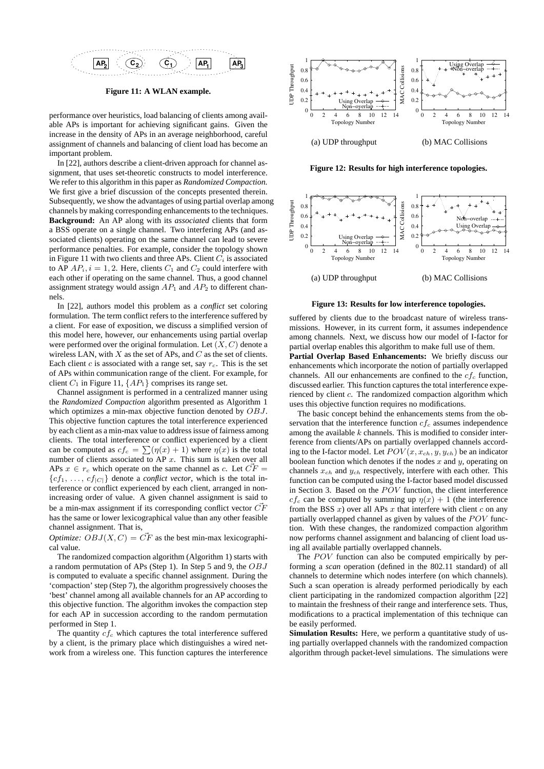

**Figure 11: A WLAN example.**

performance over heuristics, load balancing of clients among available APs is important for achieving significant gains. Given the increase in the density of APs in an average neighborhood, careful assignment of channels and balancing of client load has become an important problem.

In [22], authors describe a client-driven approach for channel assignment, that uses set-theoretic constructs to model interference. We refer to this algorithm in this paper as *Randomized Compaction.* We first give a brief discussion of the concepts presented therein. Subsequently, we show the advantages of using partial overlap among channels by making corresponding enhancements to the techniques. **Background:** An AP along with its *associated* clients that form a BSS operate on a single channel. Two interfering APs (and associated clients) operating on the same channel can lead to severe performance penalties. For example, consider the topology shown in Figure 11 with two clients and three APs. Client  $C_i$  is associated to AP  $AP_i$ ,  $i = 1, 2$ . Here, clients  $C_1$  and  $C_2$  could interfere with each other if operating on the same channel. Thus, a good channel assignment strategy would assign  $AP_1$  and  $AP_2$  to different channels.

In [22], authors model this problem as a *conflict* set coloring formulation. The term conflict refers to the interference suffered by a client. For ease of exposition, we discuss a simplified version of this model here, however, our enhancements using partial overlap were performed over the original formulation. Let  $(X, C)$  denote a wireless LAN, with  $X$  as the set of APs, and  $C$  as the set of clients. Each client c is associated with a range set, say  $r_c$ . This is the set of APs within communication range of the client. For example, for client  $C_1$  in Figure 11,  $\{AP_1\}$  comprises its range set.

Channel assignment is performed in a centralized manner using the *Randomized Compaction* algorithm presented as Algorithm 1 which optimizes a min-max objective function denoted by OBJ. This objective function captures the total interference experienced by each client as a min-max value to address issue of fairness among clients. The total interference or conflict experienced by a client can be computed as  $cf_c = \sum(\eta(x) + 1)$  where  $\eta(x)$  is the total number of clients associated to AP x. This sum is taken over all APs  $x \in r_c$  which operate on the same channel as c. Let  $CF =$  ${cf_1, \ldots, cf_{|C|}}$  denote a *conflict vector*, which is the total interference or conflict experienced by each client, arranged in nonincreasing order of value. A given channel assignment is said to be a min-max assignment if its corresponding conflict vector  $\vec{CF}$ has the same or lower lexicographical value than any other feasible channel assignment. That is,

*Optimize:*  $OBJ(X, C) = \overrightarrow{CF}$  as the best min-max lexicographical value.

The randomized compaction algorithm (Algorithm 1) starts with a random permutation of APs (Step 1). In Step 5 and 9, the OBJ is computed to evaluate a specific channel assignment. During the 'compaction' step (Step 7), the algorithm progressively chooses the 'best' channel among all available channels for an AP according to this objective function. The algorithm invokes the compaction step for each AP in succession according to the random permutation performed in Step 1.

The quantity  $cf_c$  which captures the total interference suffered by a client, is the primary place which distinguishes a wired network from a wireless one. This function captures the interference



**Figure 12: Results for high interference topologies.**





suffered by clients due to the broadcast nature of wireless transmissions. However, in its current form, it assumes independence among channels. Next, we discuss how our model of I-factor for partial overlap enables this algorithm to make full use of them.

**Partial Overlap Based Enhancements:** We briefly discuss our enhancements which incorporate the notion of partially overlapped channels. All our enhancements are confined to the  $cf_c$  function, discussed earlier. This function captures the total interference experienced by client c. The randomized compaction algorithm which uses this objective function requires no modifications.

The basic concept behind the enhancements stems from the observation that the interference function  $cf_c$  assumes independence among the available  $k$  channels. This is modified to consider interference from clients/APs on partially overlapped channels according to the I-factor model. Let  $POV(x, x_{ch}, y, y_{ch})$  be an indicator boolean function which denotes if the nodes  $x$  and  $y$ , operating on channels  $x_{ch}$  and  $y_{ch}$  respectively, interfere with each other. This function can be computed using the I-factor based model discussed in Section 3. Based on the  $POV$  function, the client interference  $cf_c$  can be computed by summing up  $\eta(x) + 1$  (the interference from the BSS  $x$ ) over all APs  $x$  that interfere with client  $c$  on any partially overlapped channel as given by values of the  $POV$  function. With these changes, the randomized compaction algorithm now performs channel assignment and balancing of client load using all available partially overlapped channels.

The  $POV$  function can also be computed empirically by performing a *scan* operation (defined in the 802.11 standard) of all channels to determine which nodes interfere (on which channels). Such a scan operation is already performed periodically by each client participating in the randomized compaction algorithm [22] to maintain the freshness of their range and interference sets. Thus, modifications to a practical implementation of this technique can be easily performed.

**Simulation Results:** Here, we perform a quantitative study of using partially overlapped channels with the randomized compaction algorithm through packet-level simulations. The simulations were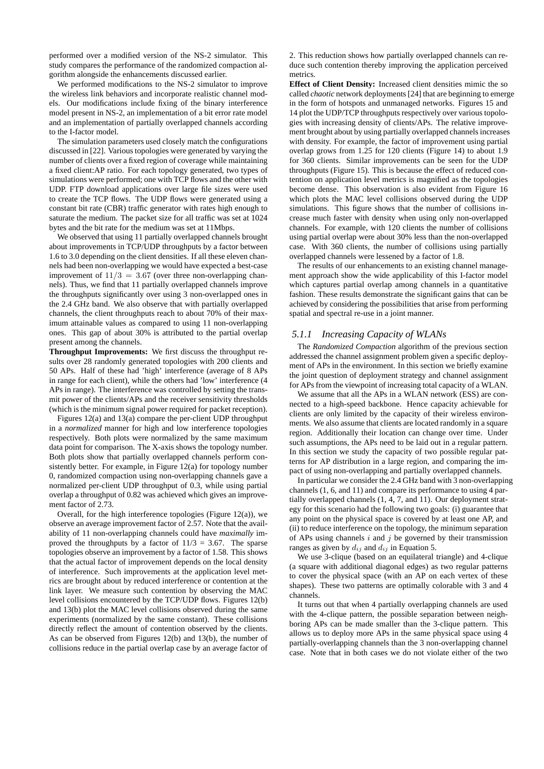performed over a modified version of the NS-2 simulator. This study compares the performance of the randomized compaction algorithm alongside the enhancements discussed earlier.

We performed modifications to the NS-2 simulator to improve the wireless link behaviors and incorporate realistic channel models. Our modifications include fixing of the binary interference model present in NS-2, an implementation of a bit error rate model and an implementation of partially overlapped channels according to the I-factor model.

The simulation parameters used closely match the configurations discussed in [22]. Various topologies were generated by varying the number of clients over a fixed region of coverage while maintaining a fixed client:AP ratio. For each topology generated, two types of simulations were performed; one with TCP flows and the other with UDP. FTP download applications over large file sizes were used to create the TCP flows. The UDP flows were generated using a constant bit rate (CBR) traffic generator with rates high enough to saturate the medium. The packet size for all traffic was set at 1024 bytes and the bit rate for the medium was set at 11Mbps.

We observed that using 11 partially overlapped channels brought about improvements in TCP/UDP throughputs by a factor between 1.6 to 3.0 depending on the client densities. If all these eleven channels had been non-overlapping we would have expected a best-case improvement of  $11/3 = 3.67$  (over three non-overlapping channels). Thus, we find that 11 partially overlapped channels improve the throughputs significantly over using 3 non-overlapped ones in the 2.4 GHz band. We also observe that with partially overlapped channels, the client throughputs reach to about 70% of their maximum attainable values as compared to using 11 non-overlapping ones. This gap of about 30% is attributed to the partial overlap present among the channels.

**Throughput Improvements:** We first discuss the throughput results over 28 randomly generated topologies with 200 clients and 50 APs. Half of these had 'high' interference (average of 8 APs in range for each client), while the others had 'low' interference (4 APs in range). The interference was controlled by setting the transmit power of the clients/APs and the receiver sensitivity thresholds (which is the minimum signal power required for packet reception).

Figures 12(a) and 13(a) compare the per-client UDP throughput in a *normalized* manner for high and low interference topologies respectively. Both plots were normalized by the same maximum data point for comparison. The X-axis shows the topology number. Both plots show that partially overlapped channels perform consistently better. For example, in Figure 12(a) for topology number 0, randomized compaction using non-overlapping channels gave a normalized per-client UDP throughput of 0.3, while using partial overlap a throughput of 0.82 was achieved which gives an improvement factor of 2.73.

Overall, for the high interference topologies (Figure 12(a)), we observe an average improvement factor of 2.57. Note that the availability of 11 non-overlapping channels could have *maximally* improved the throughputs by a factor of  $11/3 = 3.67$ . The sparse topologies observe an improvement by a factor of 1.58. This shows that the actual factor of improvement depends on the local density of interference. Such improvements at the application level metrics are brought about by reduced interference or contention at the link layer. We measure such contention by observing the MAC level collisions encountered by the TCP/UDP flows. Figures 12(b) and 13(b) plot the MAC level collisions observed during the same experiments (normalized by the same constant). These collisions directly reflect the amount of contention observed by the clients. As can be observed from Figures 12(b) and 13(b), the number of collisions reduce in the partial overlap case by an average factor of 2. This reduction shows how partially overlapped channels can reduce such contention thereby improving the application perceived metrics.

**Effect of Client Density:** Increased client densities mimic the so called *chaotic* network deployments [24] that are beginning to emerge in the form of hotspots and unmanaged networks. Figures 15 and 14 plot the UDP/TCP throughputs respectively over various topologies with increasing density of clients/APs. The relative improvement brought about by using partially overlapped channels increases with density. For example, the factor of improvement using partial overlap grows from 1.25 for 120 clients (Figure 14) to about 1.9 for 360 clients. Similar improvements can be seen for the UDP throughputs (Figure 15). This is because the effect of reduced contention on application level metrics is magnified as the topologies become dense. This observation is also evident from Figure 16 which plots the MAC level collisions observed during the UDP simulations. This figure shows that the number of collisions increase much faster with density when using only non-overlapped channels. For example, with 120 clients the number of collisions using partial overlap were about 30% less than the non-overlapped case. With 360 clients, the number of collisions using partially overlapped channels were lessened by a factor of 1.8.

The results of our enhancements to an existing channel management approach show the wide applicability of this I-factor model which captures partial overlap among channels in a quantitative fashion. These results demonstrate the significant gains that can be achieved by considering the possibilities that arise from performing spatial and spectral re-use in a joint manner.

#### *5.1.1 Increasing Capacity of WLANs*

The *Randomized Compaction* algorithm of the previous section addressed the channel assignment problem given a specific deployment of APs in the environment. In this section we briefly examine the joint question of deployment strategy and channel assignment for APs from the viewpoint of increasing total capacity of a WLAN.

We assume that all the APs in a WLAN network (ESS) are connected to a high-speed backbone. Hence capacity achievable for clients are only limited by the capacity of their wireless environments. We also assume that clients are located randomly in a square region. Additionally their location can change over time. Under such assumptions, the APs need to be laid out in a regular pattern. In this section we study the capacity of two possible regular patterns for AP distribution in a large region, and comparing the impact of using non-overlapping and partially overlapped channels.

In particular we consider the 2.4 GHz band with 3 non-overlapping channels (1, 6, and 11) and compare its performance to using 4 partially overlapped channels (1, 4, 7, and 11). Our deployment strategy for this scenario had the following two goals: (i) guarantee that any point on the physical space is covered by at least one AP, and (ii) to reduce interference on the topology, the minimum separation of APs using channels  $i$  and  $j$  be governed by their transmission ranges as given by  $d_{ij}$  and  $d_{ij}$  in Equation 5.

We use 3-clique (based on an equilateral triangle) and 4-clique (a square with additional diagonal edges) as two regular patterns to cover the physical space (with an AP on each vertex of these shapes). These two patterns are optimally colorable with 3 and 4 channels.

It turns out that when 4 partially overlapping channels are used with the 4-clique pattern, the possible separation between neighboring APs can be made smaller than the 3-clique pattern. This allows us to deploy more APs in the same physical space using 4 partially-overlapping channels than the 3 non-overlapping channel case. Note that in both cases we do not violate either of the two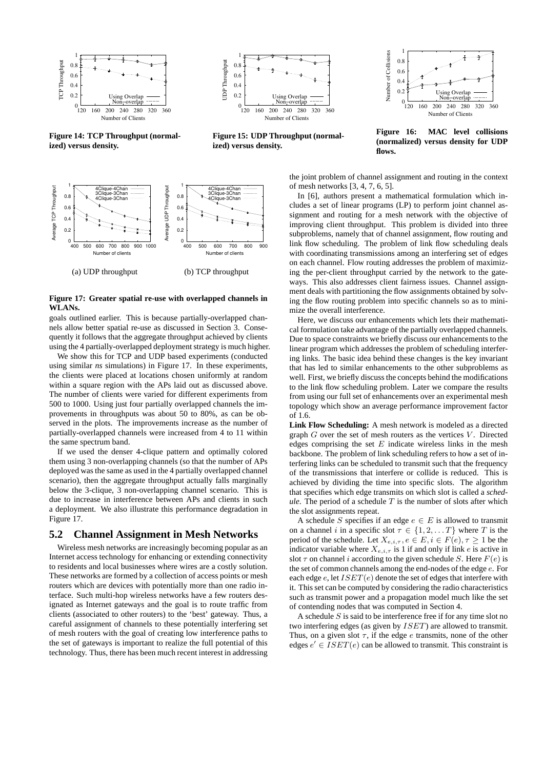

**Figure 14: TCP Throughput (normalized) versus density.**



**Figure 15: UDP Throughput (normalized) versus density.**



(a) UDP throughput

# (b) TCP throughput

#### **Figure 17: Greater spatial re-use with overlapped channels in WLANs.**

goals outlined earlier. This is because partially-overlapped channels allow better spatial re-use as discussed in Section 3. Consequently it follows that the aggregate throughput achieved by clients using the 4 partially-overlapped deployment strategy is much higher.

We show this for TCP and UDP based experiments (conducted using similar *ns* simulations) in Figure 17. In these experiments, the clients were placed at locations chosen uniformly at random within a square region with the APs laid out as discussed above. The number of clients were varied for different experiments from 500 to 1000. Using just four partially overlapped channels the improvements in throughputs was about 50 to 80%, as can be observed in the plots. The improvements increase as the number of partially-overlapped channels were increased from 4 to 11 within the same spectrum band.

If we used the denser 4-clique pattern and optimally colored them using 3 non-overlapping channels (so that the number of APs deployed was the same as used in the 4 partially overlapped channel scenario), then the aggregate throughput actually falls marginally below the 3-clique, 3 non-overlapping channel scenario. This is due to increase in interference between APs and clients in such a deployment. We also illustrate this performance degradation in Figure 17.

## **5.2 Channel Assignment in Mesh Networks**

Wireless mesh networks are increasingly becoming popular as an Internet access technology for enhancing or extending connectivity to residents and local businesses where wires are a costly solution. These networks are formed by a collection of access points or mesh routers which are devices with potentially more than one radio interface. Such multi-hop wireless networks have a few routers designated as Internet gateways and the goal is to route traffic from clients (associated to other routers) to the 'best' gateway. Thus, a careful assignment of channels to these potentially interfering set of mesh routers with the goal of creating low interference paths to the set of gateways is important to realize the full potential of this technology. Thus, there has been much recent interest in addressing



**Figure 16: MAC level collisions (normalized) versus density for UDP flows.**

the joint problem of channel assignment and routing in the context of mesh networks [3, 4, 7, 6, 5].

In [6], authors present a mathematical formulation which includes a set of linear programs (LP) to perform joint channel assignment and routing for a mesh network with the objective of improving client throughput. This problem is divided into three subproblems, namely that of channel assignment, flow routing and link flow scheduling. The problem of link flow scheduling deals with coordinating transmissions among an interfering set of edges on each channel. Flow routing addresses the problem of maximizing the per-client throughput carried by the network to the gateways. This also addresses client fairness issues. Channel assignment deals with partitioning the flow assignments obtained by solving the flow routing problem into specific channels so as to minimize the overall interference.

Here, we discuss our enhancements which lets their mathematical formulation take advantage of the partially overlapped channels. Due to space constraints we briefly discuss our enhancements to the linear program which addresses the problem of scheduling interfering links. The basic idea behind these changes is the key invariant that has led to similar enhancements to the other subproblems as well. First, we briefly discuss the concepts behind the modifications to the link flow scheduling problem. Later we compare the results from using our full set of enhancements over an experimental mesh topology which show an average performance improvement factor of 1.6.

**Link Flow Scheduling:** A mesh network is modeled as a directed graph  $G$  over the set of mesh routers as the vertices  $V$ . Directed edges comprising the set  $E$  indicate wireless links in the mesh backbone. The problem of link scheduling refers to how a set of interfering links can be scheduled to transmit such that the frequency of the transmissions that interfere or collide is reduced. This is achieved by dividing the time into specific slots. The algorithm that specifies which edge transmits on which slot is called a *schedule*. The period of a schedule  $T$  is the number of slots after which the slot assignments repeat.

A schedule S specifies if an edge  $e \in E$  is allowed to transmit on a channel i in a specific slot  $\tau \in \{1, 2, \dots T\}$  where T is the period of the schedule. Let  $X_{e,i,\tau}, e \in E, i \in F(e), \tau \geq 1$  be the indicator variable where  $X_{e,i,\tau}$  is 1 if and only if link e is active in slot  $\tau$  on channel *i* according to the given schedule S. Here  $F(e)$  is the set of common channels among the end-nodes of the edge e. For each edge  $e$ , let  $ISET(e)$  denote the set of edges that interfere with it. This set can be computed by considering the radio characteristics such as transmit power and a propagation model much like the set of contending nodes that was computed in Section 4.

A schedule  $S$  is said to be interference free if for any time slot no two interfering edges (as given by ISET) are allowed to transmit. Thus, on a given slot  $\tau$ , if the edge e transmits, none of the other edges  $e' \in \overline{ISET}(e)$  can be allowed to transmit. This constraint is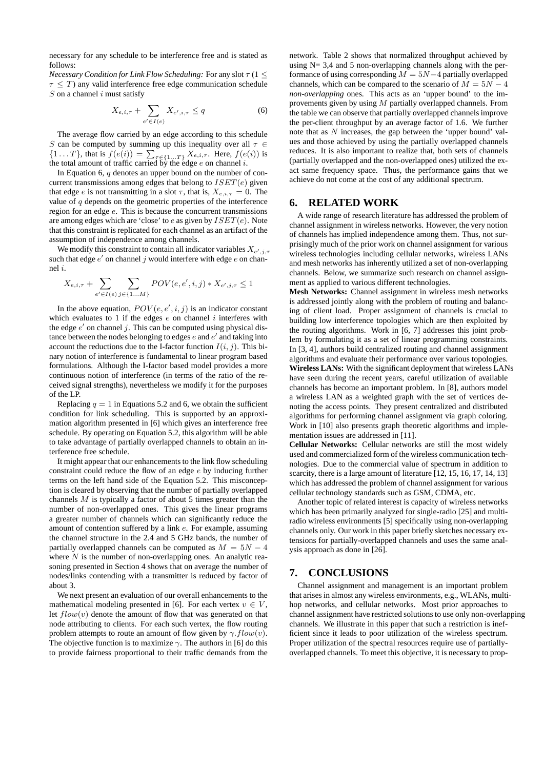necessary for any schedule to be interference free and is stated as follows:

*Necessary Condition for Link Flow Scheduling:* For any slot  $\tau$  (1  $\leq$  $\tau \leq T$ ) any valid interference free edge communication schedule  $S$  on a channel  $i$  must satisfy

$$
X_{e,i,\tau} + \sum_{e' \in I(e)} X_{e',i,\tau} \le q \tag{6}
$$

The average flow carried by an edge according to this schedule S can be computed by summing up this inequality over all  $\tau \in$  $\{1...T\}$ , that is  $f(e(i)) = \sum_{\tau \in \{1...T\}} X_{e,i,\tau}$ . Here,  $f(e(i))$  is the total amount of traffic carried by the edge  $e$  on channel  $i$ .

In Equation 6,  $q$  denotes an upper bound on the number of concurrent transmissions among edges that belong to  $ISET(e)$  given that edge e is not transmitting in a slot  $\tau$ , that is,  $X_{e,i,\tau} = 0$ . The value of  $q$  depends on the geometric properties of the interference region for an edge e. This is because the concurrent transmissions are among edges which are 'close' to e as given by  $ISET(e)$ . Note that this constraint is replicated for each channel as an artifact of the assumption of independence among channels.

We modify this constraint to contain all indicator variables  $X_{e',j,\tau}$ such that edge  $e'$  on channel j would interfere with edge  $e$  on channel i.

$$
X_{e,i,\tau} + \sum_{e' \in I(e)} \sum_{j \in \{1...M\}} POV(e,e',i,j) * X_{e',j,\tau} \le 1
$$

In the above equation,  $POV(e, e', i, j)$  is an indicator constant which evaluates to 1 if the edges  $e$  on channel i interferes with the edge  $e'$  on channel j. This can be computed using physical distance between the nodes belonging to edges  $e$  and  $e'$  and taking into account the reductions due to the I-factor function  $I(i, j)$ . This binary notion of interference is fundamental to linear program based formulations. Although the I-factor based model provides a more continuous notion of interference (in terms of the ratio of the received signal strengths), nevertheless we modify it for the purposes of the LP.

Replacing  $q = 1$  in Equations 5.2 and 6, we obtain the sufficient condition for link scheduling. This is supported by an approximation algorithm presented in [6] which gives an interference free schedule. By operating on Equation 5.2, this algorithm will be able to take advantage of partially overlapped channels to obtain an interference free schedule.

It might appear that our enhancements to the link flow scheduling constraint could reduce the flow of an edge e by inducing further terms on the left hand side of the Equation 5.2. This misconception is cleared by observing that the number of partially overlapped channels  $M$  is typically a factor of about 5 times greater than the number of non-overlapped ones. This gives the linear programs a greater number of channels which can significantly reduce the amount of contention suffered by a link e. For example, assuming the channel structure in the 2.4 and 5 GHz bands, the number of partially overlapped channels can be computed as  $M = 5N - 4$ where  $N$  is the number of non-overlapping ones. An analytic reasoning presented in Section 4 shows that on average the number of nodes/links contending with a transmitter is reduced by factor of about 3.

We next present an evaluation of our overall enhancements to the mathematical modeling presented in [6]. For each vertex  $v \in V$ , let  $flow(v)$  denote the amount of flow that was generated on that node attributing to clients. For each such vertex, the flow routing problem attempts to route an amount of flow given by  $\gamma$ .  $flow(v)$ . The objective function is to maximize  $\gamma$ . The authors in [6] do this to provide fairness proportional to their traffic demands from the

network. Table 2 shows that normalized throughput achieved by using  $N = 3,4$  and 5 non-overlapping channels along with the performance of using corresponding  $M = 5N-4$  partially overlapped channels, which can be compared to the scenario of  $M = 5N - 4$ *non-overlapping* ones. This acts as an 'upper bound' to the improvements given by using  $M$  partially overlapped channels. From the table we can observe that partially overlapped channels improve the per-client throughput by an average factor of 1.6. We further note that as N increases, the gap between the 'upper bound' values and those achieved by using the partially overlapped channels reduces. It is also important to realize that, both sets of channels (partially overlapped and the non-overlapped ones) utilized the exact same frequency space. Thus, the performance gains that we achieve do not come at the cost of any additional spectrum.

### **6. RELATED WORK**

A wide range of research literature has addressed the problem of channel assignment in wireless networks. However, the very notion of channels has implied independence among them. Thus, not surprisingly much of the prior work on channel assignment for various wireless technologies including cellular networks, wireless LANs and mesh networks has inherently utilized a set of non-overlapping channels. Below, we summarize such research on channel assignment as applied to various different technologies.

**Mesh Networks:** Channel assignment in wireless mesh networks is addressed jointly along with the problem of routing and balancing of client load. Proper assignment of channels is crucial to building low interference topologies which are then exploited by the routing algorithms. Work in [6, 7] addresses this joint problem by formulating it as a set of linear programming constraints. In [3, 4], authors build centralized routing and channel assignment algorithms and evaluate their performance over various topologies. **Wireless LANs:** With the significant deployment that wireless LANs have seen during the recent years, careful utilization of available channels has become an important problem. In [8], authors model a wireless LAN as a weighted graph with the set of vertices denoting the access points. They present centralized and distributed algorithms for performing channel assignment via graph coloring. Work in [10] also presents graph theoretic algorithms and implementation issues are addressed in [11].

**Cellular Networks:** Cellular networks are still the most widely used and commercialized form of the wireless communication technologies. Due to the commercial value of spectrum in addition to scarcity, there is a large amount of literature [12, 15, 16, 17, 14, 13] which has addressed the problem of channel assignment for various cellular technology standards such as GSM, CDMA, etc.

Another topic of related interest is capacity of wireless networks which has been primarily analyzed for single-radio [25] and multiradio wireless environments [5] specifically using non-overlapping channels only. Our work in this paper briefly sketches necessary extensions for partially-overlapped channels and uses the same analysis approach as done in [26].

### **7. CONCLUSIONS**

Channel assignment and management is an important problem that arises in almost any wireless environments, e.g., WLANs, multihop networks, and cellular networks. Most prior approaches to channel assignment have restricted solutions to use only non-overlapping channels. We illustrate in this paper that such a restriction is inefficient since it leads to poor utilization of the wireless spectrum. Proper utilization of the spectral resources require use of partiallyoverlapped channels. To meet this objective, it is necessary to prop-